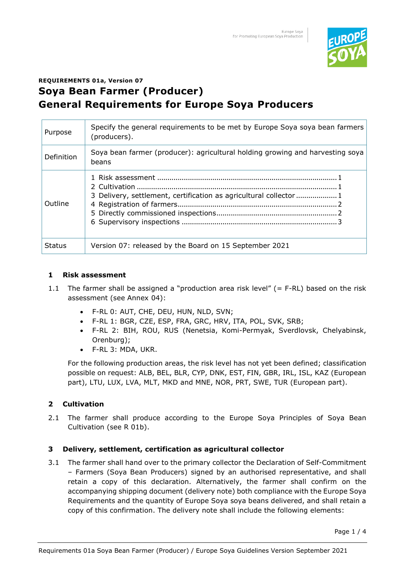

# **REQUIREMENTS 01a, Version 07 Soya Bean Farmer (Producer) General Requirements for Europe Soya Producers**

| Purpose       | Specify the general requirements to be met by Europe Soya soya bean farmers<br>(producers). |
|---------------|---------------------------------------------------------------------------------------------|
| Definition    | Soya bean farmer (producer): agricultural holding growing and harvesting soya<br>beans      |
| Outline       | 3 Delivery, settlement, certification as agricultural collector 1                           |
| <b>Status</b> | Version 07: released by the Board on 15 September 2021                                      |

### **1 Risk assessment**

- 1.1 The farmer shall be assigned a "production area risk level" (= F-RL) based on the risk assessment (see Annex 04):
	- F-RL 0: AUT, CHE, DEU, HUN, NLD, SVN;
	- F-RL 1: BGR, CZE, ESP, FRA, GRC, HRV, ITA, POL, SVK, SRB;
	- F-RL 2: BIH, ROU, RUS (Nenetsia, Komi-Permyak, Sverdlovsk, Chelyabinsk, Orenburg);
	- F-RL 3: MDA, UKR.

For the following production areas, the risk level has not yet been defined; classification possible on request: ALB, BEL, BLR, CYP, DNK, EST, FIN, GBR, IRL, ISL, KAZ (European part), LTU, LUX, LVA, MLT, MKD and MNE, NOR, PRT, SWE, TUR (European part).

## **2 Cultivation**

2.1 The farmer shall produce according to the Europe Soya Principles of Soya Bean Cultivation (see R 01b).

## **3 Delivery, settlement, certification as agricultural collector**

3.1 The farmer shall hand over to the primary collector the Declaration of Self-Commitment – Farmers (Soya Bean Producers) signed by an authorised representative, and shall retain a copy of this declaration. Alternatively, the farmer shall confirm on the accompanying shipping document (delivery note) both compliance with the Europe Soya Requirements and the quantity of Europe Soya soya beans delivered, and shall retain a copy of this confirmation. The delivery note shall include the following elements: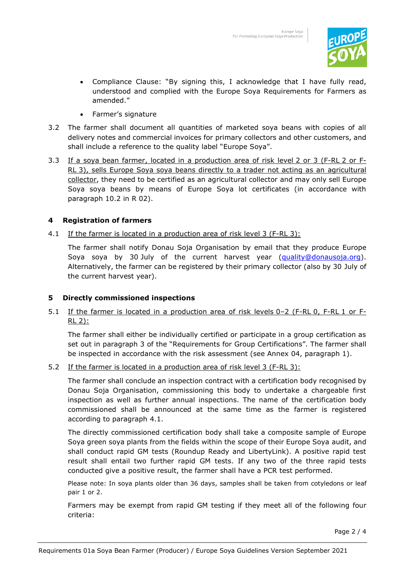

- Compliance Clause: "By signing this, I acknowledge that I have fully read, understood and complied with the Europe Soya Requirements for Farmers as amended."
- Farmer's signature
- 3.2 The farmer shall document all quantities of marketed soya beans with copies of all delivery notes and commercial invoices for primary collectors and other customers, and shall include a reference to the quality label "Europe Soya".
- 3.3 If a soya bean farmer, located in a production area of risk level 2 or 3 (F-RL 2 or F-RL 3), sells Europe Soya soya beans directly to a trader not acting as an agricultural collector, they need to be certified as an agricultural collector and may only sell Europe Soya soya beans by means of Europe Soya lot certificates (in accordance with paragraph 10.2 in R 02).

### **4 Registration of farmers**

<span id="page-1-0"></span>4.1 If the farmer is located in a production area of risk level 3 (F-RL 3):

The farmer shall notify Donau Soja Organisation by email that they produce Europe Soya soya by 30 July of the current harvest year [\(quality@donausoja.org\)](mailto:quality@donausoja.org). Alternatively, the farmer can be registered by their primary collector (also by 30 July of the current harvest year).

#### **5 Directly commissioned inspections**

5.1 If the farmer is located in a production area of risk levels 0-2 (F-RL 0, F-RL 1 or F- $RL$  2):

The farmer shall either be individually certified or participate in a group certification as set out in paragraph 3 of the "Requirements for Group Certifications". The farmer shall be inspected in accordance with the risk assessment (see Annex 04, paragraph 1).

5.2 If the farmer is located in a production area of risk level 3 (F-RL 3):

The farmer shall conclude an inspection contract with a certification body recognised by Donau Soja Organisation, commissioning this body to undertake a chargeable first inspection as well as further annual inspections. The name of the certification body commissioned shall be announced at the same time as the farmer is registered according to paragraph [4.1.](#page-1-0)

The directly commissioned certification body shall take a composite sample of Europe Soya green soya plants from the fields within the scope of their Europe Soya audit, and shall conduct rapid GM tests (Roundup Ready and LibertyLink). A positive rapid test result shall entail two further rapid GM tests. If any two of the three rapid tests conducted give a positive result, the farmer shall have a PCR test performed.

Please note: In soya plants older than 36 days, samples shall be taken from cotyledons or leaf pair 1 or 2.

Farmers may be exempt from rapid GM testing if they meet all of the following four criteria: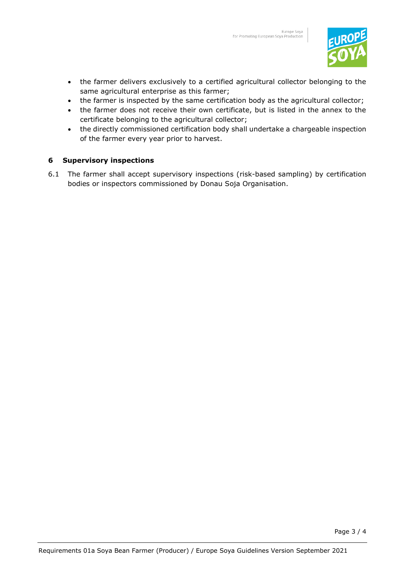

- the farmer delivers exclusively to a certified agricultural collector belonging to the same agricultural enterprise as this farmer;
- the farmer is inspected by the same certification body as the agricultural collector;
- the farmer does not receive their own certificate, but is listed in the annex to the certificate belonging to the agricultural collector;
- the directly commissioned certification body shall undertake a chargeable inspection of the farmer every year prior to harvest.

#### **6 Supervisory inspections**

6.1 The farmer shall accept supervisory inspections (risk-based sampling) by certification bodies or inspectors commissioned by Donau Soja Organisation.